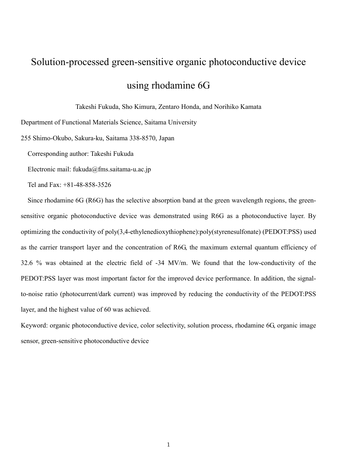# Solution-processed green-sensitive organic photoconductive device using rhodamine 6G

Takeshi Fukuda, Sho Kimura, Zentaro Honda, and Norihiko Kamata

Department of Functional Materials Science, Saitama University

255 Shimo-Okubo, Sakura-ku, Saitama 338-8570, Japan

Corresponding author: Takeshi Fukuda

Electronic mail: fukuda@fms.saitama-u.ac.jp

Tel and Fax: +81-48-858-3526

Since rhodamine 6G (R6G) has the selective absorption band at the green wavelength regions, the greensensitive organic photoconductive device was demonstrated using R6G as a photoconductive layer. By optimizing the conductivity of poly(3,4-ethylenedioxythiophene):poly(styrenesulfonate) (PEDOT:PSS) used as the carrier transport layer and the concentration of R6G, the maximum external quantum efficiency of 32.6 % was obtained at the electric field of -34 MV/m. We found that the low-conductivity of the PEDOT:PSS layer was most important factor for the improved device performance. In addition, the signalto-noise ratio (photocurrent/dark current) was improved by reducing the conductivity of the PEDOT:PSS layer, and the highest value of 60 was achieved.

Keyword: organic photoconductive device, color selectivity, solution process, rhodamine 6G, organic image sensor, green-sensitive photoconductive device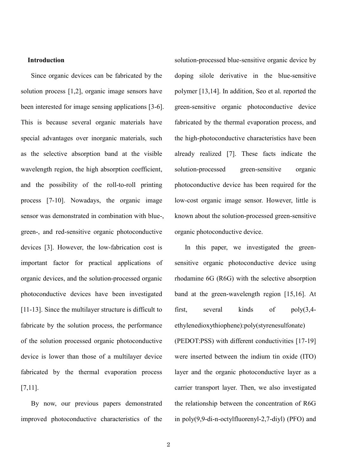## **Introduction**

Since organic devices can be fabricated by the solution process [1,2], organic image sensors have been interested for image sensing applications [3-6]. This is because several organic materials have special advantages over inorganic materials, such as the selective absorption band at the visible wavelength region, the high absorption coefficient, and the possibility of the roll-to-roll printing process [7-10]. Nowadays, the organic image sensor was demonstrated in combination with blue-, green-, and red-sensitive organic photoconductive devices [3]. However, the low-fabrication cost is important factor for practical applications of organic devices, and the solution-processed organic photoconductive devices have been investigated [11-13]. Since the multilayer structure is difficult to fabricate by the solution process, the performance of the solution processed organic photoconductive device is lower than those of a multilayer device fabricated by the thermal evaporation process [7,11].

By now, our previous papers demonstrated improved photoconductive characteristics of the solution-processed blue-sensitive organic device by doping silole derivative in the blue-sensitive polymer [13,14]. In addition, Seo et al. reported the green-sensitive organic photoconductive device fabricated by the thermal evaporation process, and the high-photoconductive characteristics have been already realized [7]. These facts indicate the solution-processed green-sensitive organic photoconductive device has been required for the low-cost organic image sensor. However, little is known about the solution-processed green-sensitive organic photoconductive device.

In this paper, we investigated the greensensitive organic photoconductive device using rhodamine 6G (R6G) with the selective absorption band at the green-wavelength region [15,16]. At first, several kinds of poly(3,4 ethylenedioxythiophene):poly(styrenesulfonate)

(PEDOT:PSS) with different conductivities [17-19] were inserted between the indium tin oxide (ITO) layer and the organic photoconductive layer as a carrier transport layer. Then, we also investigated the relationship between the concentration of R6G in poly(9,9-di-n-octylfluorenyl-2,7-diyl) (PFO) and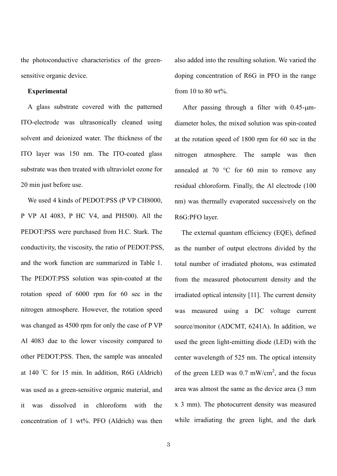the photoconductive characteristics of the greensensitive organic device.

# **Experimental**

A glass substrate covered with the patterned ITO-electrode was ultrasonically cleaned using solvent and deionized water. The thickness of the ITO layer was 150 nm. The ITO-coated glass substrate was then treated with ultraviolet ozone for 20 min just before use.

We used 4 kinds of PEDOT:PSS (P VP CH8000, P VP AI 4083, P HC V4, and PH500). All the PEDOT:PSS were purchased from H.C. Stark. The conductivity, the viscosity, the ratio of PEDOT:PSS, and the work function are summarized in Table 1. The PEDOT:PSS solution was spin-coated at the rotation speed of 6000 rpm for 60 sec in the nitrogen atmosphere. However, the rotation speed was changed as 4500 rpm for only the case of P VP Al 4083 due to the lower viscosity compared to other PEDOT:PSS. Then, the sample was annealed at 140 ℃ for 15 min. In addition, R6G (Aldrich) was used as a green-sensitive organic material, and it was dissolved in chloroform with the concentration of 1 wt%. PFO (Aldrich) was then

also added into the resulting solution. We varied the doping concentration of R6G in PFO in the range from 10 to 80  $\text{wt}\%$ 

After passing through a filter with  $0.45 - \mu m$ diameter holes, the mixed solution was spin-coated at the rotation speed of 1800 rpm for 60 sec in the nitrogen atmosphere. The sample was then annealed at 70 °C for 60 min to remove any residual chloroform. Finally, the Al electrode (100 nm) was thermally evaporated successively on the R6G:PFO layer.

The external quantum efficiency (EQE), defined as the number of output electrons divided by the total number of irradiated photons, was estimated from the measured photocurrent density and the irradiated optical intensity [11]. The current density was measured using a DC voltage current source/monitor (ADCMT, 6241A). In addition, we used the green light-emitting diode (LED) with the center wavelength of 525 nm. The optical intensity of the green LED was  $0.7 \text{ mW/cm}^2$ , and the focus area was almost the same as the device area (3 mm x 3 mm). The photocurrent density was measured while irradiating the green light, and the dark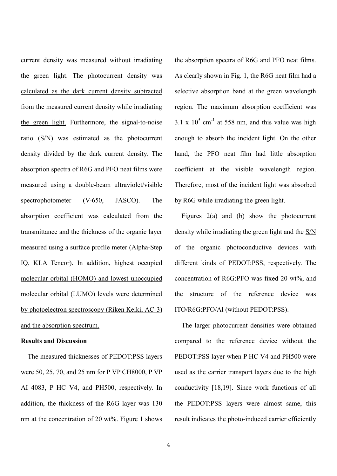current density was measured without irradiating the green light. The photocurrent density was calculated as the dark current density subtracted from the measured current density while irradiating the green light. Furthermore, the signal-to-noise ratio (S/N) was estimated as the photocurrent density divided by the dark current density. The absorption spectra of R6G and PFO neat films were measured using a double-beam ultraviolet/visible spectrophotometer (V-650, JASCO). The absorption coefficient was calculated from the transmittance and the thickness of the organic layer measured using a surface profile meter (Alpha-Step IQ, KLA Tencor). In addition, highest occupied molecular orbital (HOMO) and lowest unoccupied molecular orbital (LUMO) levels were determined by photoelectron spectroscopy (Riken Keiki, AC-3) and the absorption spectrum.

#### **Results and Discussion**

The measured thicknesses of PEDOT:PSS layers were 50, 25, 70, and 25 nm for P VP CH8000, P VP AI 4083, P HC V4, and PH500, respectively. In addition, the thickness of the R6G layer was 130 nm at the concentration of 20 wt%. Figure 1 shows the absorption spectra of R6G and PFO neat films. As clearly shown in Fig. 1, the R6G neat film had a selective absorption band at the green wavelength region. The maximum absorption coefficient was  $3.1 \times 10^5$  cm<sup>-1</sup> at 558 nm, and this value was high enough to absorb the incident light. On the other hand, the PFO neat film had little absorption coefficient at the visible wavelength region. Therefore, most of the incident light was absorbed by R6G while irradiating the green light.

Figures 2(a) and (b) show the photocurrent density while irradiating the green light and the S/N of the organic photoconductive devices with different kinds of PEDOT:PSS, respectively. The concentration of R6G:PFO was fixed 20 wt%, and the structure of the reference device was ITO/R6G:PFO/Al (without PEDOT:PSS).

The larger photocurrent densities were obtained compared to the reference device without the PEDOT:PSS layer when P HC V4 and PH500 were used as the carrier transport layers due to the high conductivity [18,19]. Since work functions of all the PEDOT:PSS layers were almost same, this result indicates the photo-induced carrier efficiently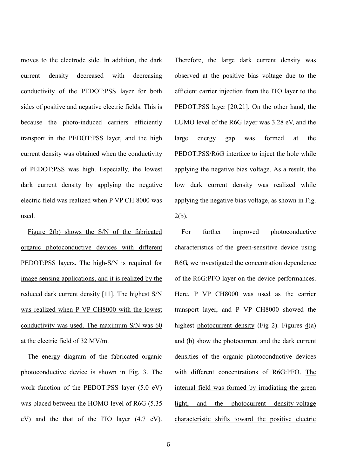moves to the electrode side. In addition, the dark current density decreased with decreasing conductivity of the PEDOT:PSS layer for both sides of positive and negative electric fields. This is because the photo-induced carriers efficiently transport in the PEDOT:PSS layer, and the high current density was obtained when the conductivity of PEDOT:PSS was high. Especially, the lowest dark current density by applying the negative electric field was realized when P VP CH 8000 was used.

Figure 2(b) shows the S/N of the fabricated organic photoconductive devices with different PEDOT:PSS layers. The high-S/N is required for image sensing applications, and it is realized by the reduced dark current density [11]. The highest S/N was realized when P VP CH8000 with the lowest conductivity was used. The maximum S/N was 60 at the electric field of 32 MV/m.

The energy diagram of the fabricated organic photoconductive device is shown in Fig. 3. The work function of the PEDOT:PSS layer (5.0 eV) was placed between the HOMO level of R6G (5.35 eV) and the that of the ITO layer (4.7 eV). Therefore, the large dark current density was observed at the positive bias voltage due to the efficient carrier injection from the ITO layer to the PEDOT:PSS layer [20,21]. On the other hand, the LUMO level of the R6G layer was 3.28 eV, and the large energy gap was formed at the PEDOT:PSS/R6G interface to inject the hole while applying the negative bias voltage. As a result, the low dark current density was realized while applying the negative bias voltage, as shown in Fig. 2(b).

For further improved photoconductive characteristics of the green-sensitive device using R6G, we investigated the concentration dependence of the R6G:PFO layer on the device performances. Here, P VP CH8000 was used as the carrier transport layer, and P VP CH8000 showed the highest photocurrent density (Fig 2). Figures  $4(a)$ and (b) show the photocurrent and the dark current densities of the organic photoconductive devices with different concentrations of R6G:PFO. The internal field was formed by irradiating the green light, and the photocurrent density-voltage characteristic shifts toward the positive electric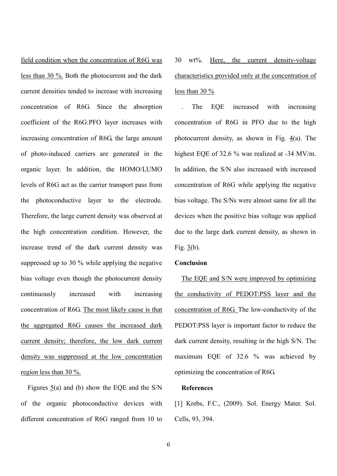field condition when the concentration of R6G was less than 30 %. Both the photocurrent and the dark current densities tended to increase with increasing concentration of R6G. Since the absorption coefficient of the R6G:PFO layer increases with increasing concentration of R6G, the large amount of photo-induced carriers are generated in the organic layer. In addition, the HOMO/LUMO levels of R6G act as the carrier transport pass from the photoconductive layer to the electrode. Therefore, the large current density was observed at the high concentration condition. However, the increase trend of the dark current density was suppressed up to 30 % while applying the negative bias voltage even though the photocurrent density continuously increased with increasing concentration of R6G. The most likely cause is that the aggregated R6G causes the increased dark current density; therefore, the low dark current density was suppressed at the low concentration region less than 30 %.

Figures  $\frac{5}{a}$  and (b) show the EQE and the S/N of the organic photoconductive devices with different concentration of R6G ranged from 10 to 30 wt%. Here, the current density-voltage characteristics provided only at the concentration of less than 30 %

The EQE increased with increasing concentration of R6G in PFO due to the high photocurrent density, as shown in Fig. 4(a). The highest EQE of 32.6 % was realized at -34 MV/m. In addition, the S/N also increased with increased concentration of R6G while applying the negative bias voltage. The S/Ns were almost same for all the devices when the positive bias voltage was applied due to the large dark current density, as shown in Fig. 3(b).

# **Conclusion**

The EQE and S/N were improved by optimizing the conductivity of PEDOT:PSS layer and the concentration of R6G. The low-conductivity of the PEDOT:PSS layer is important factor to reduce the dark current density, resulting in the high S/N. The maximum EQE of 32.6 % was achieved by optimizing the concentration of R6G.

## **References**

[1] Krebs, F.C., (2009). Sol. Energy Mater. Sol. Cells, 93, 394.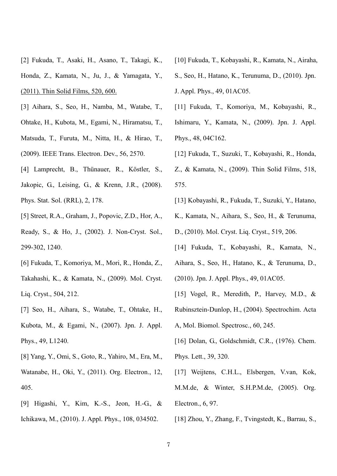- [2] Fukuda, T., Asaki, H., Asano, T., Takagi, K., Honda, Z., Kamata, N., Ju, J., & Yamagata, Y., (2011). Thin Solid Films, 520, 600.
- [3] Aihara, S., Seo, H., Namba, M., Watabe, T., Ohtake, H., Kubota, M., Egami, N., Hiramatsu, T., Matsuda, T., Furuta, M., Nitta, H., & Hirao, T., (2009). IEEE Trans. Electron. Dev., 56, 2570.
- [4] Lamprecht, B., Thünauer, R., Köstler, S., Jakopic, G., Leising, G., & Krenn, J.R., (2008). Phys. Stat. Sol. (RRL), 2, 178.
- [5] Street, R.A., Graham, J., Popovic, Z.D., Hor, A.,

Ready, S., & Ho, J., (2002). J. Non-Cryst. Sol., 299-302, 1240.

- [6] Fukuda, T., Komoriya, M., Mori, R., Honda, Z., Takahashi, K., & Kamata, N., (2009). Mol. Cryst. Liq. Cryst., 504, 212.
- [7] Seo, H., Aihara, S., Watabe, T., Ohtake, H., Kubota, M., & Egami, N., (2007). Jpn. J. Appl. Phys., 49, L1240.
- [8] Yang, Y., Omi, S., Goto, R., Yahiro, M., Era, M.,
- Watanabe, H., Oki, Y., (2011). Org. Electron., 12, 405.
- [9] Higashi, Y., Kim, K.-S., Jeon, H.-G., & Ichikawa, M., (2010). J. Appl. Phys., 108, 034502.
- [10] Fukuda, T., Kobayashi, R., Kamata, N., Airaha,
- S., Seo, H., Hatano, K., Terunuma, D., (2010). Jpn. J. Appl. Phys., 49, 01AC05.
- [11] Fukuda, T., Komoriya, M., Kobayashi, R., Ishimaru, Y., Kamata, N., (2009). Jpn. J. Appl. Phys., 48, 04C162.
- [12] Fukuda, T., Suzuki, T., Kobayashi, R., Honda, Z., & Kamata, N., (2009). Thin Solid Films, 518, 575.
- [13] Kobayashi, R., Fukuda, T., Suzuki, Y., Hatano,
- K., Kamata, N., Aihara, S., Seo, H., & Terunuma,
- D., (2010). Mol. Cryst. Liq. Cryst., 519, 206.
- [14] Fukuda, T., Kobayashi, R., Kamata, N.,
- Aihara, S., Seo, H., Hatano, K., & Terunuma, D.,
- (2010). Jpn. J. Appl. Phys., 49, 01AC05.
- [15] Vogel, R., Meredith, P., Harvey, M.D., &
- Rubinsztein-Dunlop, H., (2004). Spectrochim. Acta
- A, Mol. Biomol. Spectrosc., 60, 245.
- [16] Dolan, G., Goldschmidt, C.R., (1976). Chem. Phys. Lett., 39, 320.
- [17] Weijtens, C.H.L., Elsbergen, V.van, Kok, M.M.de, & Winter, S.H.P.M.de, (2005). Org. Electron., 6, 97.
- [18] Zhou, Y., Zhang, F., Tvingstedt, K., Barrau, S.,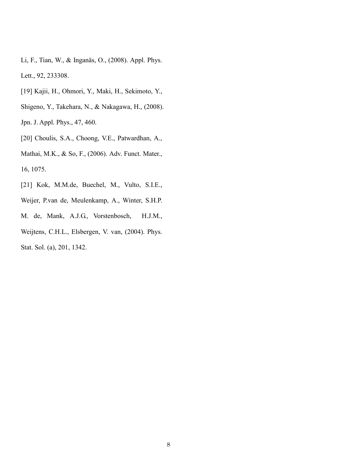- Li, F., Tian, W., & Inganäs, O., (2008). Appl. Phys. Lett., 92, 233308.
- [19] Kajii, H., Ohmori, Y., Maki, H., Sekimoto, Y.,
- Shigeno, Y., Takehara, N., & Nakagawa, H., (2008).

Jpn. J. Appl. Phys., 47, 460.

[20] Choulis, S.A., Choong, V.E., Patwardhan, A.,

Mathai, M.K., & So, F., (2006). Adv. Funct. Mater., 16, 1075.

- [21] Kok, M.M.de, Buechel, M., Vulto, S.I.E.,
- Weijer, P.van de, Meulenkamp, A., Winter, S.H.P.
- M. de, Mank, A.J.G., Vorstenbosch, H.J.M.,

Weijtens, C.H.L., Elsbergen, V. van, (2004). Phys. Stat. Sol. (a), 201, 1342.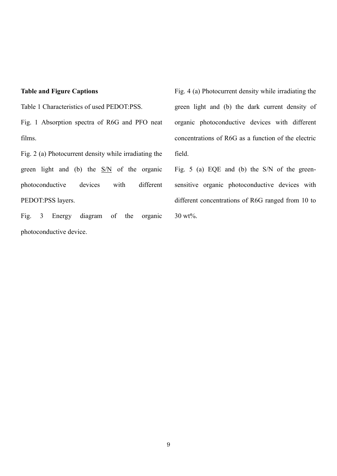# **Table and Figure Captions**

Table 1 Characteristics of used PEDOT:PSS.

Fig. 1 Absorption spectra of R6G and PFO neat films.

Fig. 2 (a) Photocurrent density while irradiating the green light and (b) the  $S/N$  of the organic photoconductive devices with different PEDOT:PSS layers.

Fig. 3 Energy diagram of the organic photoconductive device.

Fig. 4 (a) Photocurrent density while irradiating the green light and (b) the dark current density of organic photoconductive devices with different concentrations of R6G as a function of the electric field.

Fig. 5 (a) EQE and (b) the S/N of the greensensitive organic photoconductive devices with different concentrations of R6G ranged from 10 to 30 wt%.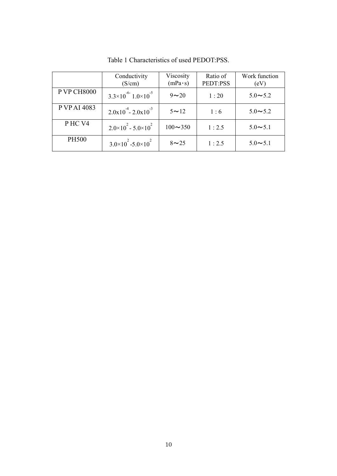|                    | Conductivity<br>(S/cm)                  | Viscosity<br>$(mPa \cdot s)$ | Ratio of<br>PEDT:PSS | Work function<br>(eV) |
|--------------------|-----------------------------------------|------------------------------|----------------------|-----------------------|
| <b>P VP CH8000</b> | $3.3\times10^{-6}$ 1.0 $\times10^{-5}$  | $9\sim20$                    | 1:20                 | $5.0 - 5.2$           |
| P VP AI 4083       | $2.0x10^{4} - 2.0x10^{3}$               | $5 \sim 12$                  | 1:6                  | $5.0 - 5.2$           |
| PHC V4             | $2.0 \times 10^{2} - 5.0 \times 10^{2}$ | $100 - 350$                  | 1:2.5                | $5.0 \sim 5.1$        |
| <b>PH500</b>       | $3.0\times10^{2} - 5.0\times10^{2}$     | $8 \sim 25$                  | 1:2.5                | $5.0 - 5.1$           |

Table 1 Characteristics of used PEDOT:PSS.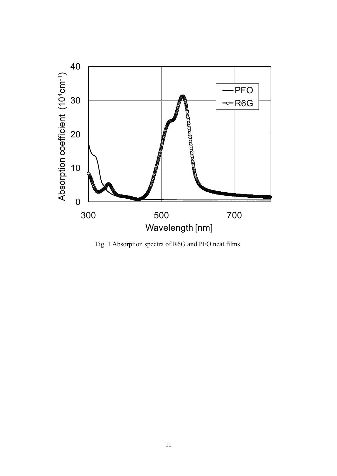

Fig. 1 Absorption spectra of R6G and PFO neat films.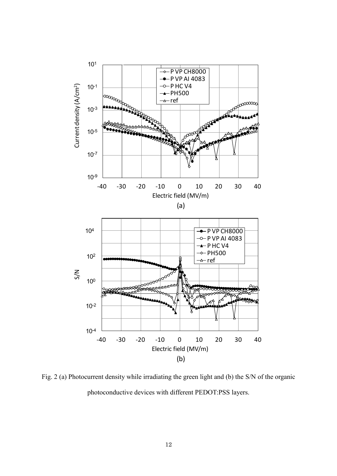

Fig. 2 (a) Photocurrent density while irradiating the green light and (b) the S/N of the organic photoconductive devices with different PEDOT:PSS layers.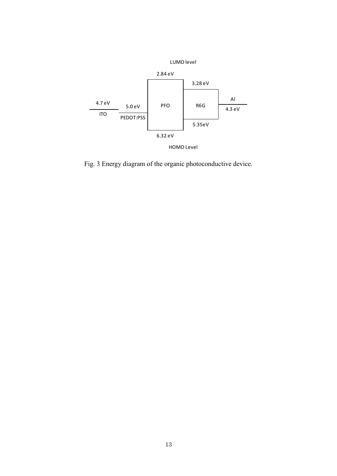

Fig. 3 Energy diagram of the organic photoconductive device.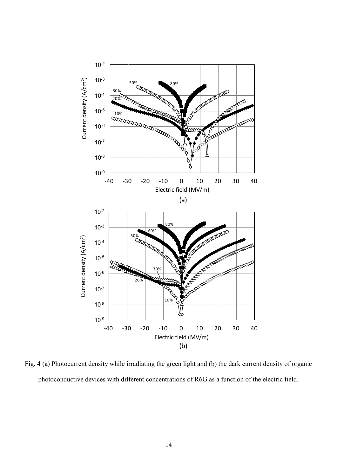

Fig. 4 (a) Photocurrent density while irradiating the green light and (b) the dark current density of organic photoconductive devices with different concentrations of R6G as a function of the electric field.